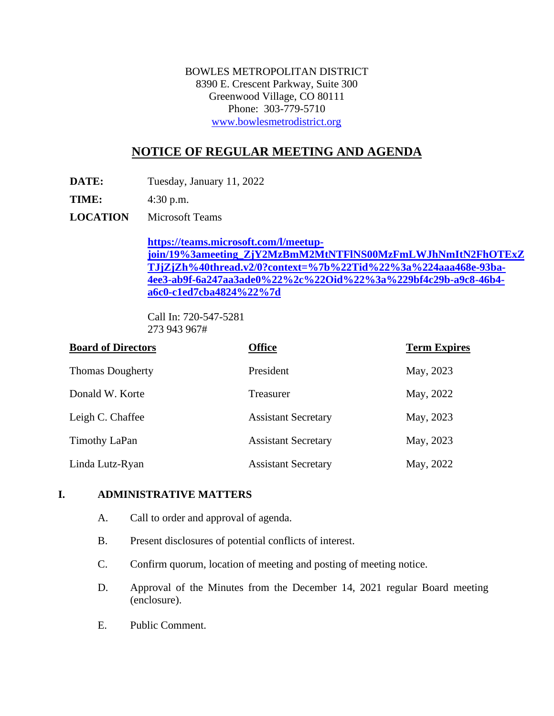BOWLES METROPOLITAN DISTRICT 8390 E. Crescent Parkway, Suite 300 Greenwood Village, CO 80111 Phone: 303-779-5710 [www.bowlesmetrodistrict.org](http://www.bowlesmetrodistrict.org/) 

# **NOTICE OF REGULAR MEETING AND AGENDA**

**DATE:** Tuesday, January 11, 2022

**TIME:** 4:30 p.m.

**LOCATION** Microsoft Teams

**[https://teams.microsoft.com/l/meetup](https://teams.microsoft.com/l/meetup-join/19%3ameeting_ZjY2MzBmM2MtNTFlNS00MzFmLWJhNmItN2FhOTExZTJjZjZh%40thread.v2/0?context=%7b%22Tid%22%3a%224aaa468e-93ba-4ee3-ab9f-6a247aa3ade0%22%2c%22Oid%22%3a%229bf4c29b-a9c8-46b4-a6c0-c1ed7cba4824%22%7d)[join/19%3ameeting\\_ZjY2MzBmM2MtNTFlNS00MzFmLWJhNmItN2FhOTExZ](https://teams.microsoft.com/l/meetup-join/19%3ameeting_ZjY2MzBmM2MtNTFlNS00MzFmLWJhNmItN2FhOTExZTJjZjZh%40thread.v2/0?context=%7b%22Tid%22%3a%224aaa468e-93ba-4ee3-ab9f-6a247aa3ade0%22%2c%22Oid%22%3a%229bf4c29b-a9c8-46b4-a6c0-c1ed7cba4824%22%7d) [TJjZjZh%40thread.v2/0?context=%7b%22Tid%22%3a%224aaa468e-93ba-](https://teams.microsoft.com/l/meetup-join/19%3ameeting_ZjY2MzBmM2MtNTFlNS00MzFmLWJhNmItN2FhOTExZTJjZjZh%40thread.v2/0?context=%7b%22Tid%22%3a%224aaa468e-93ba-4ee3-ab9f-6a247aa3ade0%22%2c%22Oid%22%3a%229bf4c29b-a9c8-46b4-a6c0-c1ed7cba4824%22%7d)[4ee3-ab9f-6a247aa3ade0%22%2c%22Oid%22%3a%229bf4c29b-a9c8-46b4](https://teams.microsoft.com/l/meetup-join/19%3ameeting_ZjY2MzBmM2MtNTFlNS00MzFmLWJhNmItN2FhOTExZTJjZjZh%40thread.v2/0?context=%7b%22Tid%22%3a%224aaa468e-93ba-4ee3-ab9f-6a247aa3ade0%22%2c%22Oid%22%3a%229bf4c29b-a9c8-46b4-a6c0-c1ed7cba4824%22%7d) [a6c0-c1ed7cba4824%22%7d](https://teams.microsoft.com/l/meetup-join/19%3ameeting_ZjY2MzBmM2MtNTFlNS00MzFmLWJhNmItN2FhOTExZTJjZjZh%40thread.v2/0?context=%7b%22Tid%22%3a%224aaa468e-93ba-4ee3-ab9f-6a247aa3ade0%22%2c%22Oid%22%3a%229bf4c29b-a9c8-46b4-a6c0-c1ed7cba4824%22%7d)** 

Call In: 720-547-5281 273 943 967#

| <b>Board of Directors</b> | <b>Office</b>              | <b>Term Expires</b> |
|---------------------------|----------------------------|---------------------|
| <b>Thomas Dougherty</b>   | President                  | May, 2023           |
| Donald W. Korte           | <b>Treasurer</b>           | May, 2022           |
| Leigh C. Chaffee          | <b>Assistant Secretary</b> | May, 2023           |
| Timothy LaPan             | <b>Assistant Secretary</b> | May, 2023           |
| Linda Lutz-Ryan           | <b>Assistant Secretary</b> | May, 2022           |

#### **I. ADMINISTRATIVE MATTERS**

- A. Call to order and approval of agenda.
- B. Present disclosures of potential conflicts of interest.
- C. Confirm quorum, location of meeting and posting of meeting notice.
- D. Approval of the Minutes from the December 14, 2021 regular Board meeting (enclosure).
- E. Public Comment.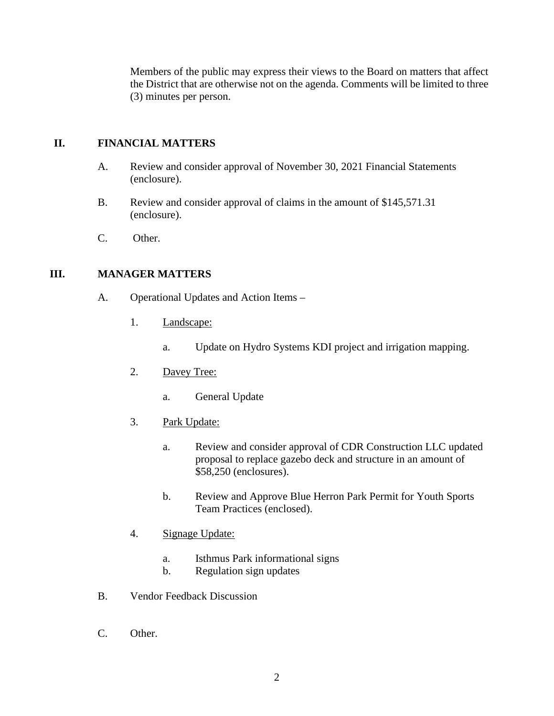Members of the public may express their views to the Board on matters that affect the District that are otherwise not on the agenda. Comments will be limited to three (3) minutes per person.

### **II. FINANCIAL MATTERS**

- A. Review and consider approval of November 30, 2021 Financial Statements (enclosure).
- B. Review and consider approval of claims in the amount of \$145,571.31 (enclosure).
- C. Other.

#### **III. MANAGER MATTERS**

- A. Operational Updates and Action Items
	- 1. Landscape:
		- a. Update on Hydro Systems KDI project and irrigation mapping.
	- 2. Davey Tree:
		- a. General Update
	- 3. Park Update:
		- a. Review and consider approval of CDR Construction LLC updated proposal to replace gazebo deck and structure in an amount of \$58,250 (enclosures).
		- b. Review and Approve Blue Herron Park Permit for Youth Sports Team Practices (enclosed).
	- 4. Signage Update:
		- a. Isthmus Park informational signs
		- b. Regulation sign updates
- B. Vendor Feedback Discussion
- C. Other.